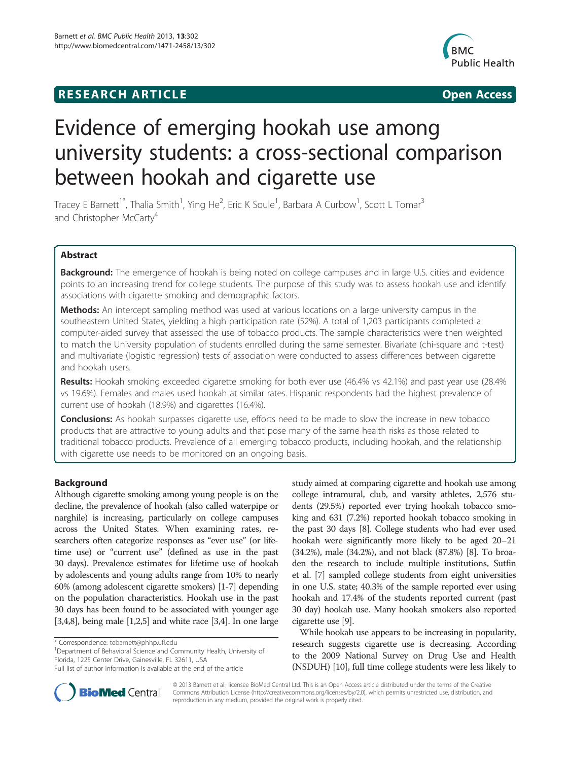# **RESEARCH ARTICLE Example 2014 CONSIDERING CONSIDERING CONSIDERING CONSIDERING CONSIDERING CONSIDERING CONSIDERING CONSIDERING CONSIDERING CONSIDERING CONSIDERING CONSIDERING CONSIDERING CONSIDERING CONSIDERING CONSIDE**



# Evidence of emerging hookah use among university students: a cross-sectional comparison between hookah and cigarette use

Tracey E Barnett<sup>1\*</sup>, Thalia Smith<sup>1</sup>, Ying He<sup>2</sup>, Eric K Soule<sup>1</sup>, Barbara A Curbow<sup>1</sup>, Scott L Tomar<sup>3</sup> and Christopher McCarty<sup>4</sup>

# Abstract

Background: The emergence of hookah is being noted on college campuses and in large U.S. cities and evidence points to an increasing trend for college students. The purpose of this study was to assess hookah use and identify associations with cigarette smoking and demographic factors.

Methods: An intercept sampling method was used at various locations on a large university campus in the southeastern United States, yielding a high participation rate (52%). A total of 1,203 participants completed a computer-aided survey that assessed the use of tobacco products. The sample characteristics were then weighted to match the University population of students enrolled during the same semester. Bivariate (chi-square and t-test) and multivariate (logistic regression) tests of association were conducted to assess differences between cigarette and hookah users.

Results: Hookah smoking exceeded cigarette smoking for both ever use (46.4% vs 42.1%) and past year use (28.4% vs 19.6%). Females and males used hookah at similar rates. Hispanic respondents had the highest prevalence of current use of hookah (18.9%) and cigarettes (16.4%).

**Conclusions:** As hookah surpasses cigarette use, efforts need to be made to slow the increase in new tobacco products that are attractive to young adults and that pose many of the same health risks as those related to traditional tobacco products. Prevalence of all emerging tobacco products, including hookah, and the relationship with cigarette use needs to be monitored on an ongoing basis.

# Background

Although cigarette smoking among young people is on the decline, the prevalence of hookah (also called waterpipe or narghile) is increasing, particularly on college campuses across the United States. When examining rates, researchers often categorize responses as "ever use" (or lifetime use) or "current use" (defined as use in the past 30 days). Prevalence estimates for lifetime use of hookah by adolescents and young adults range from 10% to nearly 60% (among adolescent cigarette smokers) [\[1](#page-6-0)-[7](#page-6-0)] depending on the population characteristics. Hookah use in the past 30 days has been found to be associated with younger age [[3,4,8\]](#page-6-0), being male [\[1,2,5](#page-6-0)] and white race [\[3,4\]](#page-6-0). In one large

<sup>1</sup>Department of Behavioral Science and Community Health, University of Florida, 1225 Center Drive, Gainesville, FL 32611, USA

study aimed at comparing cigarette and hookah use among college intramural, club, and varsity athletes, 2,576 students (29.5%) reported ever trying hookah tobacco smoking and 631 (7.2%) reported hookah tobacco smoking in the past 30 days [\[8\]](#page-6-0). College students who had ever used hookah were significantly more likely to be aged 20–21 (34.2%), male (34.2%), and not black (87.8%) [\[8](#page-6-0)]. To broaden the research to include multiple institutions, Sutfin et al. [\[7](#page-6-0)] sampled college students from eight universities in one U.S. state; 40.3% of the sample reported ever using hookah and 17.4% of the students reported current (past 30 day) hookah use. Many hookah smokers also reported cigarette use [[9](#page-6-0)].

While hookah use appears to be increasing in popularity, research suggests cigarette use is decreasing. According to the 2009 National Survey on Drug Use and Health (NSDUH) [\[10\]](#page-6-0), full time college students were less likely to



© 2013 Barnett et al.; licensee BioMed Central Ltd. This is an Open Access article distributed under the terms of the Creative Commons Attribution License [\(http://creativecommons.org/licenses/by/2.0\)](http://creativecommons.org/licenses/by/2.0), which permits unrestricted use, distribution, and reproduction in any medium, provided the original work is properly cited.

<sup>\*</sup> Correspondence: [tebarnett@phhp.ufl.edu](mailto:tebarnett@phhp.ufl.edu) <sup>1</sup>

Full list of author information is available at the end of the article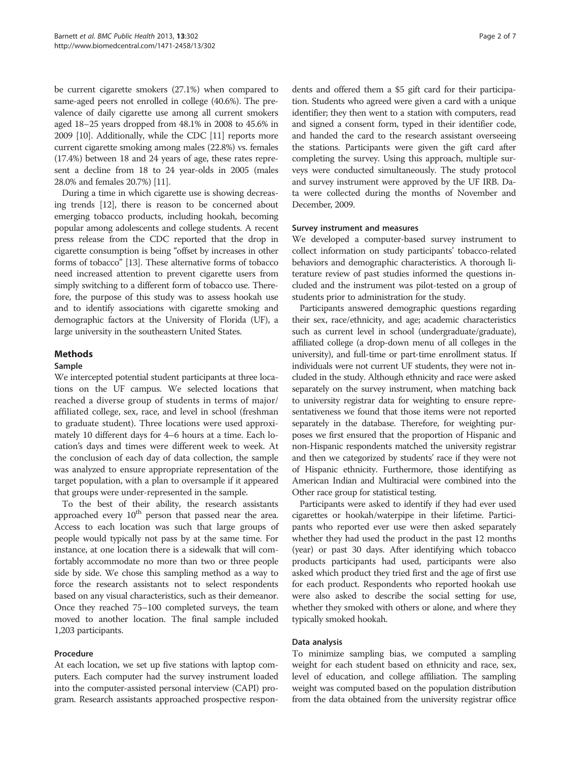be current cigarette smokers (27.1%) when compared to same-aged peers not enrolled in college (40.6%). The prevalence of daily cigarette use among all current smokers aged 18–25 years dropped from 48.1% in 2008 to 45.6% in 2009 [\[10\]](#page-6-0). Additionally, while the CDC [[11](#page-6-0)] reports more current cigarette smoking among males (22.8%) vs. females (17.4%) between 18 and 24 years of age, these rates represent a decline from 18 to 24 year-olds in 2005 (males 28.0% and females 20.7%) [\[11\]](#page-6-0).

During a time in which cigarette use is showing decreasing trends [\[12\]](#page-6-0), there is reason to be concerned about emerging tobacco products, including hookah, becoming popular among adolescents and college students. A recent press release from the CDC reported that the drop in cigarette consumption is being "offset by increases in other forms of tobacco" [\[13](#page-6-0)]. These alternative forms of tobacco need increased attention to prevent cigarette users from simply switching to a different form of tobacco use. Therefore, the purpose of this study was to assess hookah use and to identify associations with cigarette smoking and demographic factors at the University of Florida (UF), a large university in the southeastern United States.

### Methods

### Sample

We intercepted potential student participants at three locations on the UF campus. We selected locations that reached a diverse group of students in terms of major/ affiliated college, sex, race, and level in school (freshman to graduate student). Three locations were used approximately 10 different days for 4–6 hours at a time. Each location's days and times were different week to week. At the conclusion of each day of data collection, the sample was analyzed to ensure appropriate representation of the target population, with a plan to oversample if it appeared that groups were under-represented in the sample.

To the best of their ability, the research assistants approached every 10<sup>th</sup> person that passed near the area. Access to each location was such that large groups of people would typically not pass by at the same time. For instance, at one location there is a sidewalk that will comfortably accommodate no more than two or three people side by side. We chose this sampling method as a way to force the research assistants not to select respondents based on any visual characteristics, such as their demeanor. Once they reached 75–100 completed surveys, the team moved to another location. The final sample included 1,203 participants.

### Procedure

At each location, we set up five stations with laptop computers. Each computer had the survey instrument loaded into the computer-assisted personal interview (CAPI) program. Research assistants approached prospective respon-

dents and offered them a \$5 gift card for their participation. Students who agreed were given a card with a unique identifier; they then went to a station with computers, read and signed a consent form, typed in their identifier code, and handed the card to the research assistant overseeing the stations. Participants were given the gift card after completing the survey. Using this approach, multiple surveys were conducted simultaneously. The study protocol and survey instrument were approved by the UF IRB. Data were collected during the months of November and December, 2009.

### Survey instrument and measures

We developed a computer-based survey instrument to collect information on study participants' tobacco-related behaviors and demographic characteristics. A thorough literature review of past studies informed the questions included and the instrument was pilot-tested on a group of students prior to administration for the study.

Participants answered demographic questions regarding their sex, race/ethnicity, and age; academic characteristics such as current level in school (undergraduate/graduate), affiliated college (a drop-down menu of all colleges in the university), and full-time or part-time enrollment status. If individuals were not current UF students, they were not included in the study. Although ethnicity and race were asked separately on the survey instrument, when matching back to university registrar data for weighting to ensure representativeness we found that those items were not reported separately in the database. Therefore, for weighting purposes we first ensured that the proportion of Hispanic and non-Hispanic respondents matched the university registrar and then we categorized by students' race if they were not of Hispanic ethnicity. Furthermore, those identifying as American Indian and Multiracial were combined into the Other race group for statistical testing.

Participants were asked to identify if they had ever used cigarettes or hookah/waterpipe in their lifetime. Participants who reported ever use were then asked separately whether they had used the product in the past 12 months (year) or past 30 days. After identifying which tobacco products participants had used, participants were also asked which product they tried first and the age of first use for each product. Respondents who reported hookah use were also asked to describe the social setting for use, whether they smoked with others or alone, and where they typically smoked hookah.

### Data analysis

To minimize sampling bias, we computed a sampling weight for each student based on ethnicity and race, sex, level of education, and college affiliation. The sampling weight was computed based on the population distribution from the data obtained from the university registrar office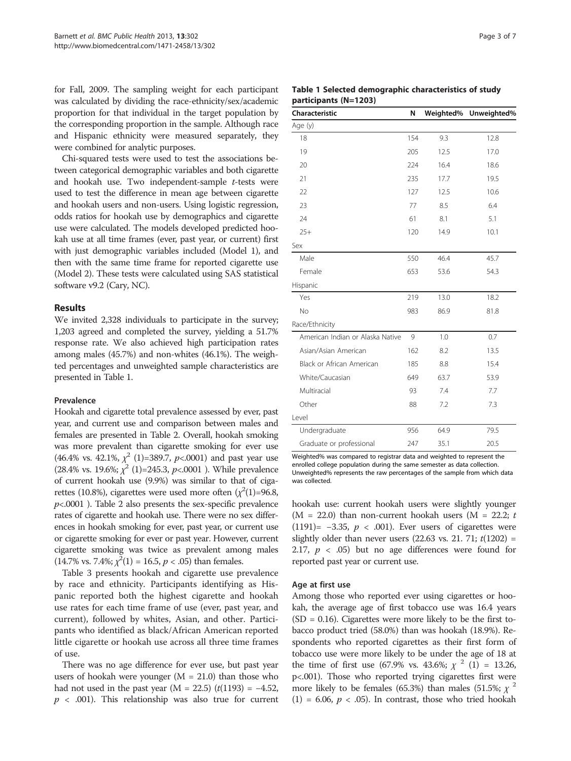for Fall, 2009. The sampling weight for each participant was calculated by dividing the race-ethnicity/sex/academic proportion for that individual in the target population by the corresponding proportion in the sample. Although race and Hispanic ethnicity were measured separately, they were combined for analytic purposes.

Chi-squared tests were used to test the associations between categorical demographic variables and both cigarette and hookah use. Two independent-sample t-tests were used to test the difference in mean age between cigarette and hookah users and non-users. Using logistic regression, odds ratios for hookah use by demographics and cigarette use were calculated. The models developed predicted hookah use at all time frames (ever, past year, or current) first with just demographic variables included (Model 1), and then with the same time frame for reported cigarette use (Model 2). These tests were calculated using SAS statistical software v9.2 (Cary, NC).

### Results

We invited 2,328 individuals to participate in the survey; 1,203 agreed and completed the survey, yielding a 51.7% response rate. We also achieved high participation rates among males (45.7%) and non-whites (46.1%). The weighted percentages and unweighted sample characteristics are presented in Table 1.

### Prevalence

Hookah and cigarette total prevalence assessed by ever, past year, and current use and comparison between males and females are presented in Table [2.](#page-3-0) Overall, hookah smoking was more prevalent than cigarette smoking for ever use (46.4% vs. 42.1%,  $\chi^2$  (1)=389.7, p<.0001) and past year use (28.4% vs. 19.6%;  $\chi^2$  (1)=245.3, p <.0001 ). While prevalence of current hookah use (9.9%) was similar to that of cigarettes (10.8%), cigarettes were used more often  $(\chi^2(1)=96.8,$  $p<.0001$ ). Table [2](#page-3-0) also presents the sex-specific prevalence rates of cigarette and hookah use. There were no sex differences in hookah smoking for ever, past year, or current use or cigarette smoking for ever or past year. However, current cigarette smoking was twice as prevalent among males  $(14.7\% \text{ vs. } 7.4\%; \chi^2(1) = 16.5, p < .05)$  than females.

Table [3](#page-3-0) presents hookah and cigarette use prevalence by race and ethnicity. Participants identifying as Hispanic reported both the highest cigarette and hookah use rates for each time frame of use (ever, past year, and current), followed by whites, Asian, and other. Participants who identified as black/African American reported little cigarette or hookah use across all three time frames of use.

There was no age difference for ever use, but past year users of hookah were younger  $(M = 21.0)$  than those who had not used in the past year (M = 22.5)  $(t(1193) = -4.52$ ,  $p$  < .001). This relationship was also true for current

Table 1 Selected demographic characteristics of study participants (N=1203)

| Characteristic                   | N   |      | Weighted% Unweighted% |
|----------------------------------|-----|------|-----------------------|
| Age (y)                          |     |      |                       |
| 18                               | 154 | 9.3  | 12.8                  |
| 19                               | 205 | 12.5 | 17.0                  |
| 20                               | 224 | 16.4 | 18.6                  |
| 21                               | 235 | 17.7 | 19.5                  |
| 22                               | 127 | 12.5 | 10.6                  |
| 23                               | 77  | 8.5  | 6.4                   |
| 24                               | 61  | 8.1  | 5.1                   |
| $25+$                            | 120 | 14.9 | 10.1                  |
| Sex                              |     |      |                       |
| Male                             | 550 | 46.4 | 45.7                  |
| Female                           | 653 | 53.6 | 54.3                  |
| Hispanic                         |     |      |                       |
| Yes                              | 219 | 13.0 | 18.2                  |
| No                               | 983 | 86.9 | 81.8                  |
| Race/Ethnicity                   |     |      |                       |
| American Indian or Alaska Native | 9   | 1.0  | 0.7                   |
| Asian/Asian American             | 162 | 8.2  | 13.5                  |
| Black or African American        | 185 | 8.8  | 15.4                  |
| White/Caucasian                  | 649 | 63.7 | 53.9                  |
| Multiracial                      | 93  | 7.4  | 7.7                   |
| Other                            | 88  | 7.2  | 7.3                   |
| Level                            |     |      |                       |
| Undergraduate                    | 956 | 64.9 | 79.5                  |
| Graduate or professional         | 247 | 35.1 | 20.5                  |

Weighted% was compared to registrar data and weighted to represent the enrolled college population during the same semester as data collection. Unweighted% represents the raw percentages of the sample from which data was collected.

hookah use: current hookah users were slightly younger (M = 22.0) than non-current hookah users (M = 22.2; t (1191)=  $-3.35$ ,  $p < .001$ ). Ever users of cigarettes were slightly older than never users  $(22.63 \text{ vs. } 21.71; t(1202) =$ 2.17,  $p \ll .05$ ) but no age differences were found for reported past year or current use.

### Age at first use

Among those who reported ever using cigarettes or hookah, the average age of first tobacco use was 16.4 years  $(SD = 0.16)$ . Cigarettes were more likely to be the first tobacco product tried (58.0%) than was hookah (18.9%). Respondents who reported cigarettes as their first form of tobacco use were more likely to be under the age of 18 at the time of first use (67.9% vs. 43.6%;  $\chi^2$  (1) = 13.26, p<.001). Those who reported trying cigarettes first were more likely to be females (65.3%) than males (51.5%;  $\chi^2$ (1) = 6.06,  $p < .05$ ). In contrast, those who tried hookah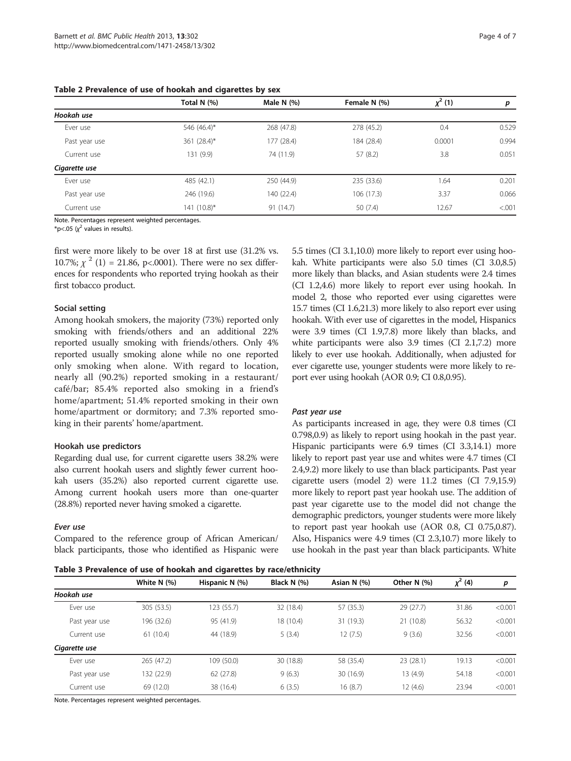|               | Total N (%)    | Male N $(%)$ | Female N (%) | $x^2(1)$ | p       |
|---------------|----------------|--------------|--------------|----------|---------|
| Hookah use    |                |              |              |          |         |
| Ever use      | 546 (46.4)*    | 268 (47.8)   | 278 (45.2)   | 0.4      | 0.529   |
| Past year use | 361 $(28.4)^*$ | 177 (28.4)   | 184 (28.4)   | 0.0001   | 0.994   |
| Current use   | 131 (9.9)      | 74 (11.9)    | 57 (8.2)     | 3.8      | 0.051   |
| Cigarette use |                |              |              |          |         |
| Ever use      | 485 (42.1)     | 250 (44.9)   | 235 (33.6)   | 1.64     | 0.201   |
| Past year use | 246 (19.6)     | 140 (22.4)   | 106(17.3)    | 3.37     | 0.066   |
| Current use   | 141 (10.8)*    | 91 (14.7)    | 50(7.4)      | 12.67    | < 0.001 |

<span id="page-3-0"></span>Table 2 Prevalence of use of hookah and cigarettes by sex

Note. Percentages represent weighted percentages.

\*p<.05  $(x^2$  values in results).

first were more likely to be over 18 at first use (31.2% vs. 10.7%;  $\chi^2$  (1) = 21.86, p<.0001). There were no sex differences for respondents who reported trying hookah as their first tobacco product.

### Social setting

Among hookah smokers, the majority (73%) reported only smoking with friends/others and an additional 22% reported usually smoking with friends/others. Only 4% reported usually smoking alone while no one reported only smoking when alone. With regard to location, nearly all (90.2%) reported smoking in a restaurant/ café/bar; 85.4% reported also smoking in a friend's home/apartment; 51.4% reported smoking in their own home/apartment or dormitory; and 7.3% reported smoking in their parents' home/apartment.

### Hookah use predictors

Regarding dual use, for current cigarette users 38.2% were also current hookah users and slightly fewer current hookah users (35.2%) also reported current cigarette use. Among current hookah users more than one-quarter (28.8%) reported never having smoked a cigarette.

Compared to the reference group of African American/ black participants, those who identified as Hispanic were

5.5 times (CI 3.1,10.0) more likely to report ever using hookah. White participants were also 5.0 times (CI 3.0,8.5) more likely than blacks, and Asian students were 2.4 times (CI 1.2,4.6) more likely to report ever using hookah. In model 2, those who reported ever using cigarettes were 15.7 times (CI 1.6,21.3) more likely to also report ever using hookah. With ever use of cigarettes in the model, Hispanics were 3.9 times (CI 1.9,7.8) more likely than blacks, and white participants were also 3.9 times (CI 2.1,7.2) more likely to ever use hookah. Additionally, when adjusted for ever cigarette use, younger students were more likely to report ever using hookah (AOR 0.9; CI 0.8,0.95).

As participants increased in age, they were 0.8 times (CI 0.798,0.9) as likely to report using hookah in the past year. Hispanic participants were 6.9 times (CI 3.3,14.1) more likely to report past year use and whites were 4.7 times (CI 2.4,9.2) more likely to use than black participants. Past year cigarette users (model 2) were 11.2 times (CI 7.9,15.9) more likely to report past year hookah use. The addition of past year cigarette use to the model did not change the demographic predictors, younger students were more likely to report past year hookah use (AOR 0.8, CI 0.75,0.87). Also, Hispanics were 4.9 times (CI 2.3,10.7) more likely to use hookah in the past year than black participants. White

|               |               | Table 3 Prevalence of use of hookah and cigarettes by race/ethnicity |             |             |               |              |         |
|---------------|---------------|----------------------------------------------------------------------|-------------|-------------|---------------|--------------|---------|
|               | White $N$ (%) | Hispanic N (%)                                                       | Black N (%) | Asian N (%) | Other $N$ (%) | $\chi^2$ (4) | р       |
| Hookah use    |               |                                                                      |             |             |               |              |         |
| Ever use      | 305(53.5)     | 123 (55.7)                                                           | 32 (18.4)   | 57 (35.3)   | 29 (27.7)     | 31.86        | < 0.001 |
| Past year use | 196 (32.6)    | 95 (41.9)                                                            | 18 (10.4)   | 31 (19.3)   | 21 (10.8)     | 56.32        | < 0.001 |
| Current use   | 61(10.4)      | 44 (18.9)                                                            | 5(3.4)      | 12(7.5)     | 9(3.6)        | 32.56        | < 0.001 |
| Cigarette use |               |                                                                      |             |             |               |              |         |
| Ever use      | 265 (47.2)    | 109 (50.0)                                                           | 30 (18.8)   | 58 (35.4)   | 23(28.1)      | 19.13        | < 0.001 |
| Past year use | 132 (22.9)    | 62(27.8)                                                             | 9(6.3)      | 30 (16.9)   | 13(4.9)       | 54.18        | < 0.001 |
| Current use   | 69 (12.0)     | 38 (16.4)                                                            | 6(3.5)      | 16(8.7)     | 12(4.6)       | 23.94        | < 0.001 |

Note. Percentages represent weighted percentages.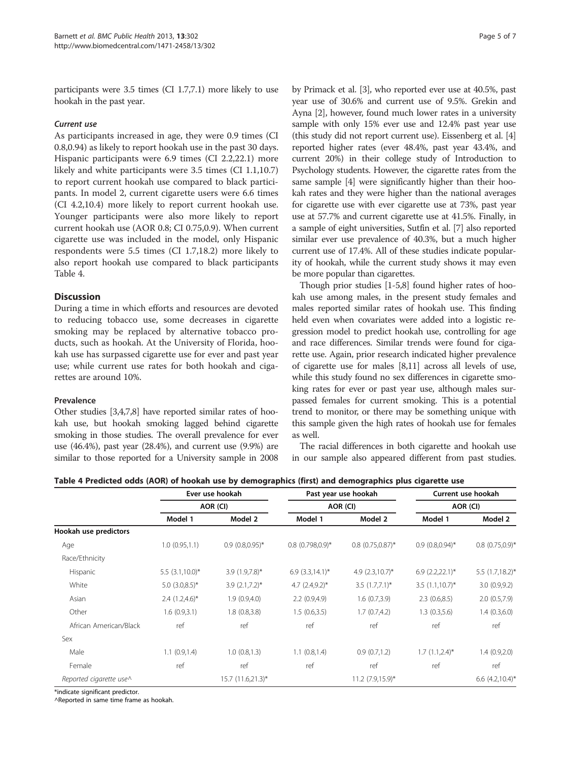participants were 3.5 times (CI 1.7,7.1) more likely to use hookah in the past year.

As participants increased in age, they were 0.9 times (CI 0.8,0.94) as likely to report hookah use in the past 30 days. Hispanic participants were 6.9 times (CI 2.2,22.1) more likely and white participants were 3.5 times (CI 1.1,10.7) to report current hookah use compared to black participants. In model 2, current cigarette users were 6.6 times (CI 4.2,10.4) more likely to report current hookah use. Younger participants were also more likely to report current hookah use (AOR 0.8; CI 0.75,0.9). When current cigarette use was included in the model, only Hispanic respondents were 5.5 times (CI 1.7,18.2) more likely to also report hookah use compared to black participants Table 4.

# **Discussion**

During a time in which efforts and resources are devoted to reducing tobacco use, some decreases in cigarette smoking may be replaced by alternative tobacco products, such as hookah. At the University of Florida, hookah use has surpassed cigarette use for ever and past year use; while current use rates for both hookah and cigarettes are around 10%.

### Prevalence

Other studies [[3,4,7,8\]](#page-6-0) have reported similar rates of hookah use, but hookah smoking lagged behind cigarette smoking in those studies. The overall prevalence for ever use (46.4%), past year (28.4%), and current use (9.9%) are similar to those reported for a University sample in 2008 by Primack et al. [\[3\]](#page-6-0), who reported ever use at 40.5%, past year use of 30.6% and current use of 9.5%. Grekin and Ayna [[2](#page-6-0)], however, found much lower rates in a university sample with only 15% ever use and 12.4% past year use (this study did not report current use). Eissenberg et al. [[4](#page-6-0)] reported higher rates (ever 48.4%, past year 43.4%, and current 20%) in their college study of Introduction to Psychology students. However, the cigarette rates from the same sample [\[4\]](#page-6-0) were significantly higher than their hookah rates and they were higher than the national averages for cigarette use with ever cigarette use at 73%, past year use at 57.7% and current cigarette use at 41.5%. Finally, in a sample of eight universities, Sutfin et al. [[7\]](#page-6-0) also reported similar ever use prevalence of 40.3%, but a much higher current use of 17.4%. All of these studies indicate popularity of hookah, while the current study shows it may even be more popular than cigarettes.

Though prior studies [\[1](#page-6-0)-[5,8](#page-6-0)] found higher rates of hookah use among males, in the present study females and males reported similar rates of hookah use. This finding held even when covariates were added into a logistic regression model to predict hookah use, controlling for age and race differences. Similar trends were found for cigarette use. Again, prior research indicated higher prevalence of cigarette use for males [[8,11](#page-6-0)] across all levels of use, while this study found no sex differences in cigarette smoking rates for ever or past year use, although males surpassed females for current smoking. This is a potential trend to monitor, or there may be something unique with this sample given the high rates of hookah use for females as well.

The racial differences in both cigarette and hookah use in our sample also appeared different from past studies.

| Table 4 Predicted odds (AOR) of hookah use by demographics (first) and demographics plus cigarette use |  |  |  |
|--------------------------------------------------------------------------------------------------------|--|--|--|
|--------------------------------------------------------------------------------------------------------|--|--|--|

|                         | Ever use hookah<br>AOR (CI) |                       | Past year use hookah<br>AOR (CI) |                    | Current use hookah<br>AOR (CI) |                      |
|-------------------------|-----------------------------|-----------------------|----------------------------------|--------------------|--------------------------------|----------------------|
|                         |                             |                       |                                  |                    |                                |                      |
|                         | Model 1                     | Model 2               | Model 1                          | Model 2            | Model 1                        | Model 2              |
| Hookah use predictors   |                             |                       |                                  |                    |                                |                      |
| Age                     | 1.0(0.95,1.1)               | $0.9(0.8,0.95)$ *     | $0.8(0.798,0.9)$ *               | $0.8(0.75,0.87)$ * | $0.9(0.8,0.94)$ *              | $0.8$ $(0.75,0.9)$ * |
| Race/Ethnicity          |                             |                       |                                  |                    |                                |                      |
| Hispanic                | $5.5$ $(3.1,10.0)$ *        | $3.9(1.9,7.8)$ *      | $6.9(3.3,14.1)^{*}$              | 4.9 $(2.3,10.7)^*$ | $6.9$ $(2.2,22.1)$ *           | $5.5$ (1.7,18.2)*    |
| White                   | 5.0 $(3.0, 8.5)^*$          | $3.9(2.1,7.2)$ *      | 4.7 $(2.4.9.2)^*$                | $3.5(1.7.7.1)^*$   | $3.5(1.1,10.7)^*$              | 3.0(0.9, 9.2)        |
| Asian                   | $2.4(1.2,4.6)^{*}$          | 1.9(0.9,4.0)          | 2.2(0.9,4.9)                     | 1.6(0.7,3.9)       | 2.3(0.6, 8.5)                  | 2.0(0.5,7.9)         |
| Other                   | 1.6(0.9,3.1)                | 1.8(0.8, 3.8)         | 1.5(0.6, 3.5)                    | 1.7(0.7,4.2)       | 1.3(0.3,5.6)                   | 1.4(0.3,6.0)         |
| African American/Black  | ref                         | ref                   | ref                              | ref                | ref                            | ref                  |
| Sex                     |                             |                       |                                  |                    |                                |                      |
| Male                    | 1.1(0.9, 1.4)               | 1.0(0.8, 1.3)         | 1.1(0.8, 1.4)                    | 0.9(0.7,1.2)       | $1.7(1.1,2.4)^{*}$             | 1.4(0.9,2.0)         |
| Female                  | ref                         | ref                   | ref                              | ref                | ref                            | ref                  |
| Reported cigarette use^ |                             | $15.7(11.6,21.3)^{*}$ |                                  | $11.2$ (7.9,15.9)* |                                | $6.6$ $(4.2,10.4)$ * |

\*indicate significant predictor.

^Reported in same time frame as hookah.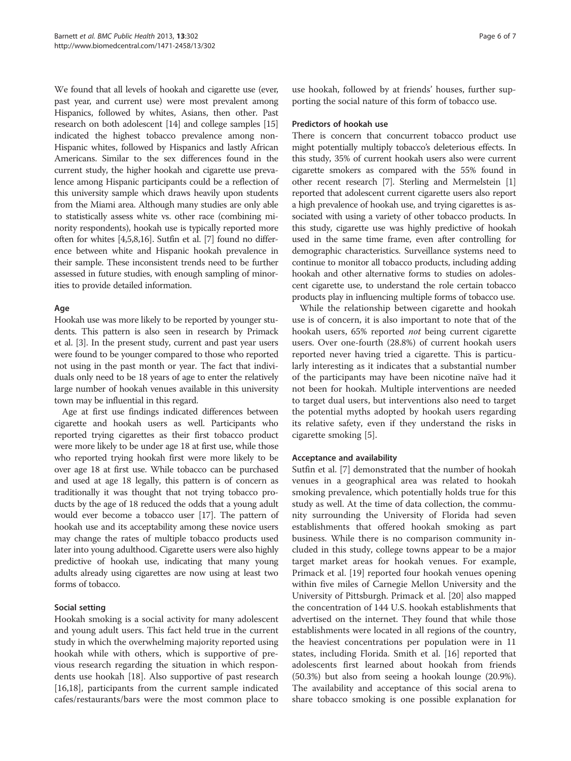We found that all levels of hookah and cigarette use (ever, past year, and current use) were most prevalent among Hispanics, followed by whites, Asians, then other. Past research on both adolescent [[14](#page-6-0)] and college samples [\[15](#page-6-0)] indicated the highest tobacco prevalence among non-Hispanic whites, followed by Hispanics and lastly African Americans. Similar to the sex differences found in the current study, the higher hookah and cigarette use prevalence among Hispanic participants could be a reflection of this university sample which draws heavily upon students from the Miami area. Although many studies are only able to statistically assess white vs. other race (combining minority respondents), hookah use is typically reported more often for whites [\[4,5,8,16\]](#page-6-0). Sutfin et al. [[7\]](#page-6-0) found no difference between white and Hispanic hookah prevalence in their sample. These inconsistent trends need to be further assessed in future studies, with enough sampling of minorities to provide detailed information.

# Age

Hookah use was more likely to be reported by younger students. This pattern is also seen in research by Primack et al. [\[3\]](#page-6-0). In the present study, current and past year users were found to be younger compared to those who reported not using in the past month or year. The fact that individuals only need to be 18 years of age to enter the relatively large number of hookah venues available in this university town may be influential in this regard.

Age at first use findings indicated differences between cigarette and hookah users as well. Participants who reported trying cigarettes as their first tobacco product were more likely to be under age 18 at first use, while those who reported trying hookah first were more likely to be over age 18 at first use. While tobacco can be purchased and used at age 18 legally, this pattern is of concern as traditionally it was thought that not trying tobacco products by the age of 18 reduced the odds that a young adult would ever become a tobacco user [\[17\]](#page-6-0). The pattern of hookah use and its acceptability among these novice users may change the rates of multiple tobacco products used later into young adulthood. Cigarette users were also highly predictive of hookah use, indicating that many young adults already using cigarettes are now using at least two forms of tobacco.

# Social setting

Hookah smoking is a social activity for many adolescent and young adult users. This fact held true in the current study in which the overwhelming majority reported using hookah while with others, which is supportive of previous research regarding the situation in which respondents use hookah [[18\]](#page-6-0). Also supportive of past research [[16,18\]](#page-6-0), participants from the current sample indicated cafes/restaurants/bars were the most common place to use hookah, followed by at friends' houses, further supporting the social nature of this form of tobacco use.

### Predictors of hookah use

There is concern that concurrent tobacco product use might potentially multiply tobacco's deleterious effects. In this study, 35% of current hookah users also were current cigarette smokers as compared with the 55% found in other recent research [\[7\]](#page-6-0). Sterling and Mermelstein [[1](#page-6-0)] reported that adolescent current cigarette users also report a high prevalence of hookah use, and trying cigarettes is associated with using a variety of other tobacco products. In this study, cigarette use was highly predictive of hookah used in the same time frame, even after controlling for demographic characteristics. Surveillance systems need to continue to monitor all tobacco products, including adding hookah and other alternative forms to studies on adolescent cigarette use, to understand the role certain tobacco products play in influencing multiple forms of tobacco use.

While the relationship between cigarette and hookah use is of concern, it is also important to note that of the hookah users, 65% reported *not* being current cigarette users. Over one-fourth (28.8%) of current hookah users reported never having tried a cigarette. This is particularly interesting as it indicates that a substantial number of the participants may have been nicotine naïve had it not been for hookah. Multiple interventions are needed to target dual users, but interventions also need to target the potential myths adopted by hookah users regarding its relative safety, even if they understand the risks in cigarette smoking [\[5](#page-6-0)].

# Acceptance and availability

Sutfin et al. [[7](#page-6-0)] demonstrated that the number of hookah venues in a geographical area was related to hookah smoking prevalence, which potentially holds true for this study as well. At the time of data collection, the community surrounding the University of Florida had seven establishments that offered hookah smoking as part business. While there is no comparison community included in this study, college towns appear to be a major target market areas for hookah venues. For example, Primack et al. [[19](#page-6-0)] reported four hookah venues opening within five miles of Carnegie Mellon University and the University of Pittsburgh. Primack et al. [[20\]](#page-6-0) also mapped the concentration of 144 U.S. hookah establishments that advertised on the internet. They found that while those establishments were located in all regions of the country, the heaviest concentrations per population were in 11 states, including Florida. Smith et al. [[16\]](#page-6-0) reported that adolescents first learned about hookah from friends (50.3%) but also from seeing a hookah lounge (20.9%). The availability and acceptance of this social arena to share tobacco smoking is one possible explanation for